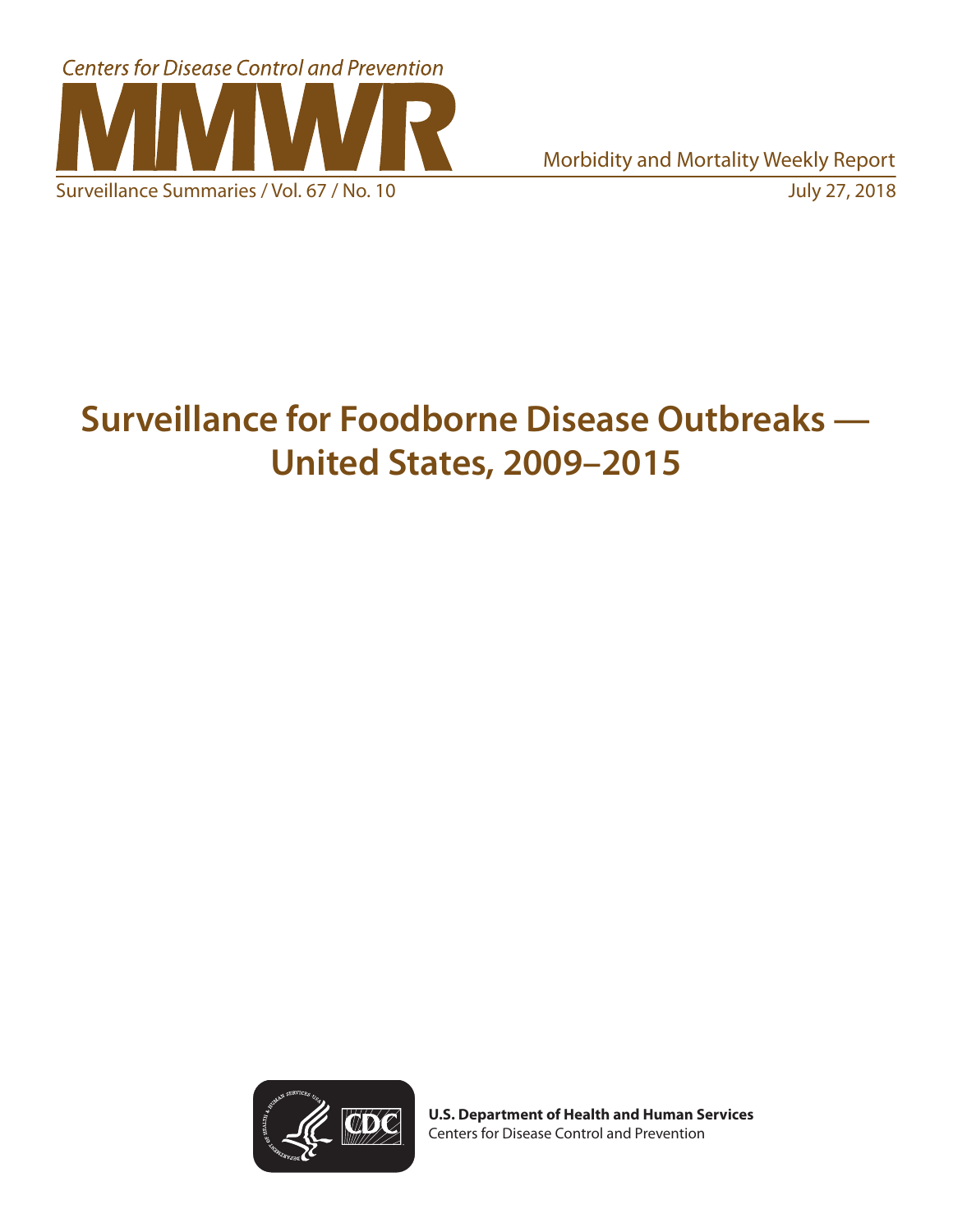

Surveillance Summaries / Vol. 67 / No. 10 July 27, 2018

Morbidity and Mortality Weekly Report

# **Surveillance for Foodborne Disease Outbreaks — United States, 2009–2015**



**U.S. Department of Health and Human Services** Centers for Disease Control and Prevention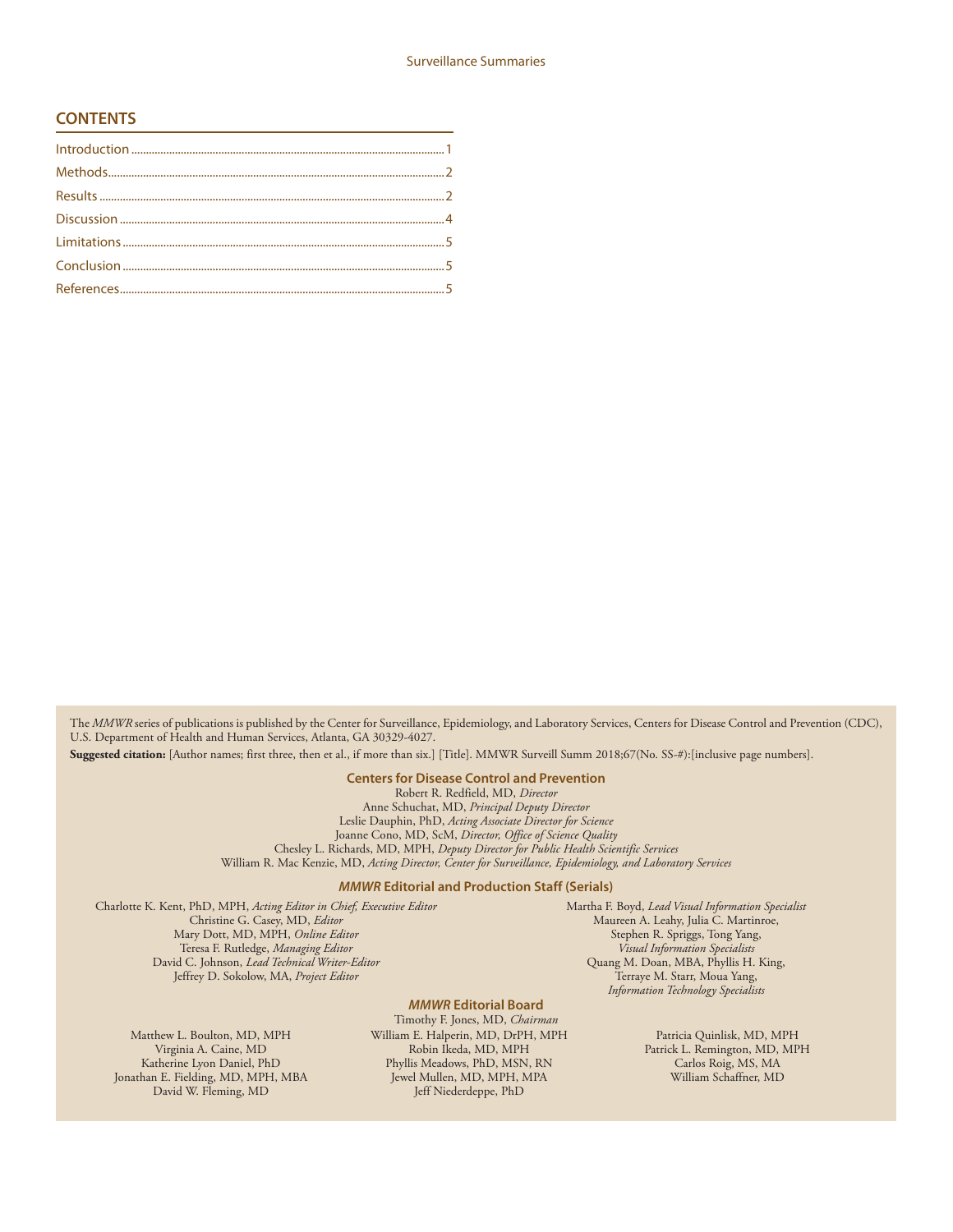## **CONTENTS**

The *MMWR* series of publications is published by the Center for Surveillance, Epidemiology, and Laboratory Services, Centers for Disease Control and Prevention (CDC), U.S. Department of Health and Human Services, Atlanta, GA 30329-4027.

**Suggested citation:** [Author names; first three, then et al., if more than six.] [Title]. MMWR Surveill Summ 2018;67(No. SS-#):[inclusive page numbers].

**Centers for Disease Control and Prevention**

Robert R. Redfield, MD, *Director* Anne Schuchat, MD, *Principal Deputy Director* Leslie Dauphin, PhD, *Acting Associate Director for Science* Joanne Cono, MD, ScM, *Director, Office of Science Quality*  Chesley L. Richards, MD, MPH, *Deputy Director for Public Health Scientific Services* William R. Mac Kenzie, MD, *Acting Director, Center for Surveillance, Epidemiology, and Laboratory Services*

#### *MMWR* **Editorial and Production Staff (Serials)**

Charlotte K. Kent, PhD, MPH, *Acting Editor in Chief, Executive Editor* Christine G. Casey, MD, *Editor* Mary Dott, MD, MPH, *Online Editor* Teresa F. Rutledge, *Managing Editor* David C. Johnson, *Lead Technical Writer-Editor* Jeffrey D. Sokolow, MA, *Project Editor*

Martha F. Boyd, *Lead Visual Information Specialist* Maureen A. Leahy, Julia C. Martinroe, Stephen R. Spriggs, Tong Yang, *Visual Information Specialists* Quang M. Doan, MBA, Phyllis H. King, Terraye M. Starr, Moua Yang, *Information Technology Specialists*

## *MMWR* **Editorial Board**

Matthew L. Boulton, MD, MPH Virginia A. Caine, MD Katherine Lyon Daniel, PhD Jonathan E. Fielding, MD, MPH, MBA David W. Fleming, MD

Timothy F. Jones, MD, *Chairman* William E. Halperin, MD, DrPH, MPH Robin Ikeda, MD, MPH Phyllis Meadows, PhD, MSN, RN Jewel Mullen, MD, MPH, MPA Jeff Niederdeppe, PhD

Patricia Quinlisk, MD, MPH Patrick L. Remington, MD, MPH Carlos Roig, MS, MA William Schaffner, MD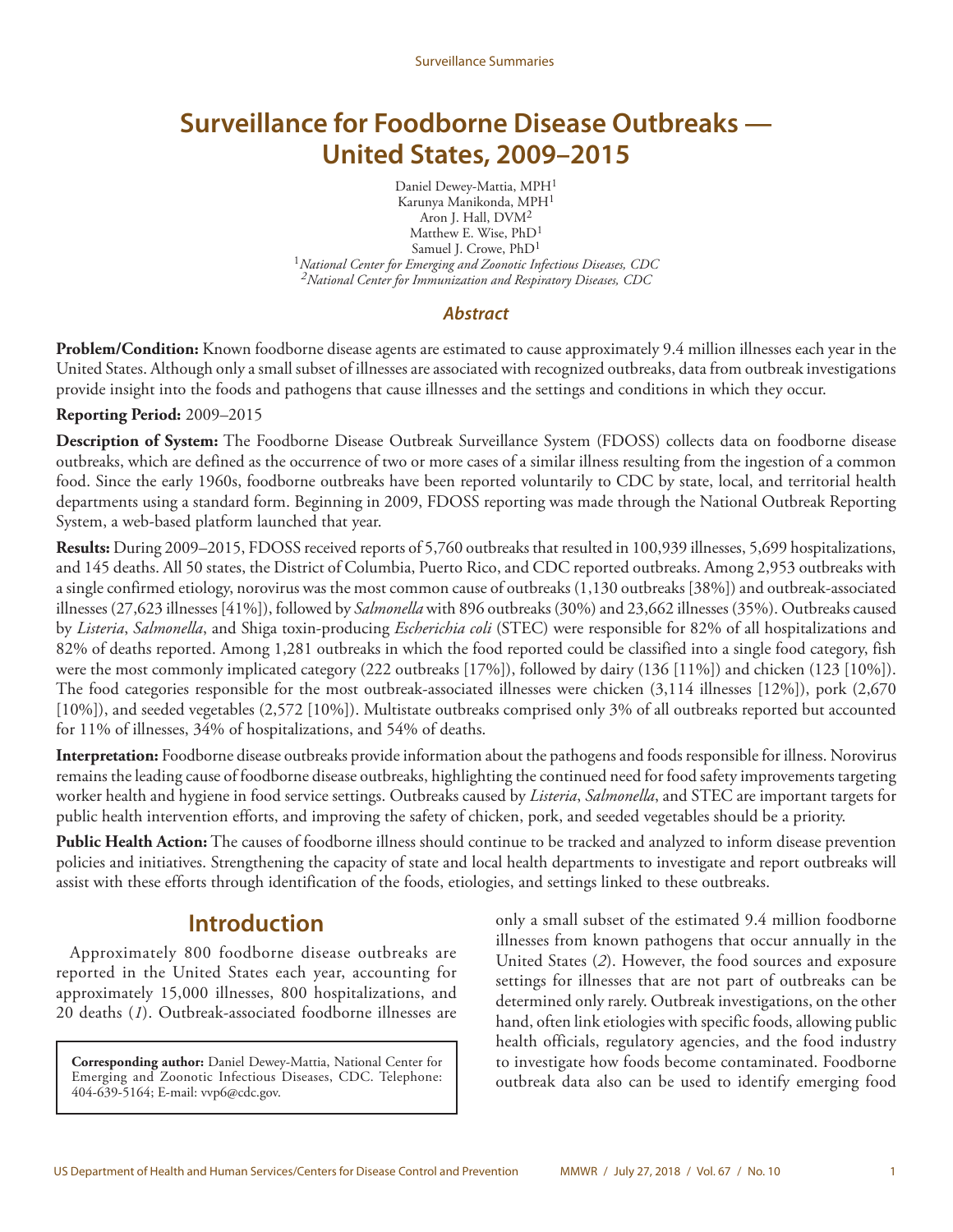# <span id="page-2-0"></span>**Surveillance for Foodborne Disease Outbreaks — United States, 2009–2015**

Daniel Dewey-Mattia, MPH1 Karunya Manikonda, MPH<sup>1</sup> Aron J. Hall, DVM<sup>2</sup> Matthew E. Wise, PhD<sup>1</sup> Samuel J. Crowe, PhD<sup>1</sup> <sup>1</sup>*National Center for Emerging and Zoonotic Infectious Diseases, CDC 2National Center for Immunization and Respiratory Diseases, CDC*

## *Abstract*

**Problem/Condition:** Known foodborne disease agents are estimated to cause approximately 9.4 million illnesses each year in the United States. Although only a small subset of illnesses are associated with recognized outbreaks, data from outbreak investigations provide insight into the foods and pathogens that cause illnesses and the settings and conditions in which they occur.

## **Reporting Period:** 2009–2015

**Description of System:** The Foodborne Disease Outbreak Surveillance System (FDOSS) collects data on foodborne disease outbreaks, which are defined as the occurrence of two or more cases of a similar illness resulting from the ingestion of a common food. Since the early 1960s, foodborne outbreaks have been reported voluntarily to CDC by state, local, and territorial health departments using a standard form. Beginning in 2009, FDOSS reporting was made through the National Outbreak Reporting System, a web-based platform launched that year.

**Results:** During 2009–2015, FDOSS received reports of 5,760 outbreaks that resulted in 100,939 illnesses, 5,699 hospitalizations, and 145 deaths. All 50 states, the District of Columbia, Puerto Rico, and CDC reported outbreaks. Among 2,953 outbreaks with a single confirmed etiology, norovirus was the most common cause of outbreaks (1,130 outbreaks [38%]) and outbreak-associated illnesses (27,623 illnesses [41%]), followed by *Salmonella* with 896 outbreaks (30%) and 23,662 illnesses (35%). Outbreaks caused by *Listeria*, *Salmonella*, and Shiga toxin-producing *Escherichia coli* (STEC) were responsible for 82% of all hospitalizations and 82% of deaths reported. Among 1,281 outbreaks in which the food reported could be classified into a single food category, fish were the most commonly implicated category (222 outbreaks [17%]), followed by dairy (136 [11%]) and chicken (123 [10%]). The food categories responsible for the most outbreak-associated illnesses were chicken (3,114 illnesses [12%]), pork (2,670 [10%]), and seeded vegetables (2,572 [10%]). Multistate outbreaks comprised only 3% of all outbreaks reported but accounted for 11% of illnesses, 34% of hospitalizations, and 54% of deaths.

**Interpretation:** Foodborne disease outbreaks provide information about the pathogens and foods responsible for illness. Norovirus remains the leading cause of foodborne disease outbreaks, highlighting the continued need for food safety improvements targeting worker health and hygiene in food service settings. Outbreaks caused by *Listeria*, *Salmonella*, and STEC are important targets for public health intervention efforts, and improving the safety of chicken, pork, and seeded vegetables should be a priority.

**Public Health Action:** The causes of foodborne illness should continue to be tracked and analyzed to inform disease prevention policies and initiatives. Strengthening the capacity of state and local health departments to investigate and report outbreaks will assist with these efforts through identification of the foods, etiologies, and settings linked to these outbreaks.

# **Introduction**

Approximately 800 foodborne disease outbreaks are reported in the United States each year, accounting for approximately 15,000 illnesses, 800 hospitalizations, and 20 deaths (*1*). Outbreak-associated foodborne illnesses are

**Corresponding author:** Daniel Dewey-Mattia, National Center for Emerging and Zoonotic Infectious Diseases, CDC. Telephone: 404-639-5164; E-mail: [vvp6@cdc.gov](mailto:vvp6@cdc.gov).

only a small subset of the estimated 9.4 million foodborne illnesses from known pathogens that occur annually in the United States (*2*). However, the food sources and exposure settings for illnesses that are not part of outbreaks can be determined only rarely. Outbreak investigations, on the other hand, often link etiologies with specific foods, allowing public health officials, regulatory agencies, and the food industry to investigate how foods become contaminated. Foodborne outbreak data also can be used to identify emerging food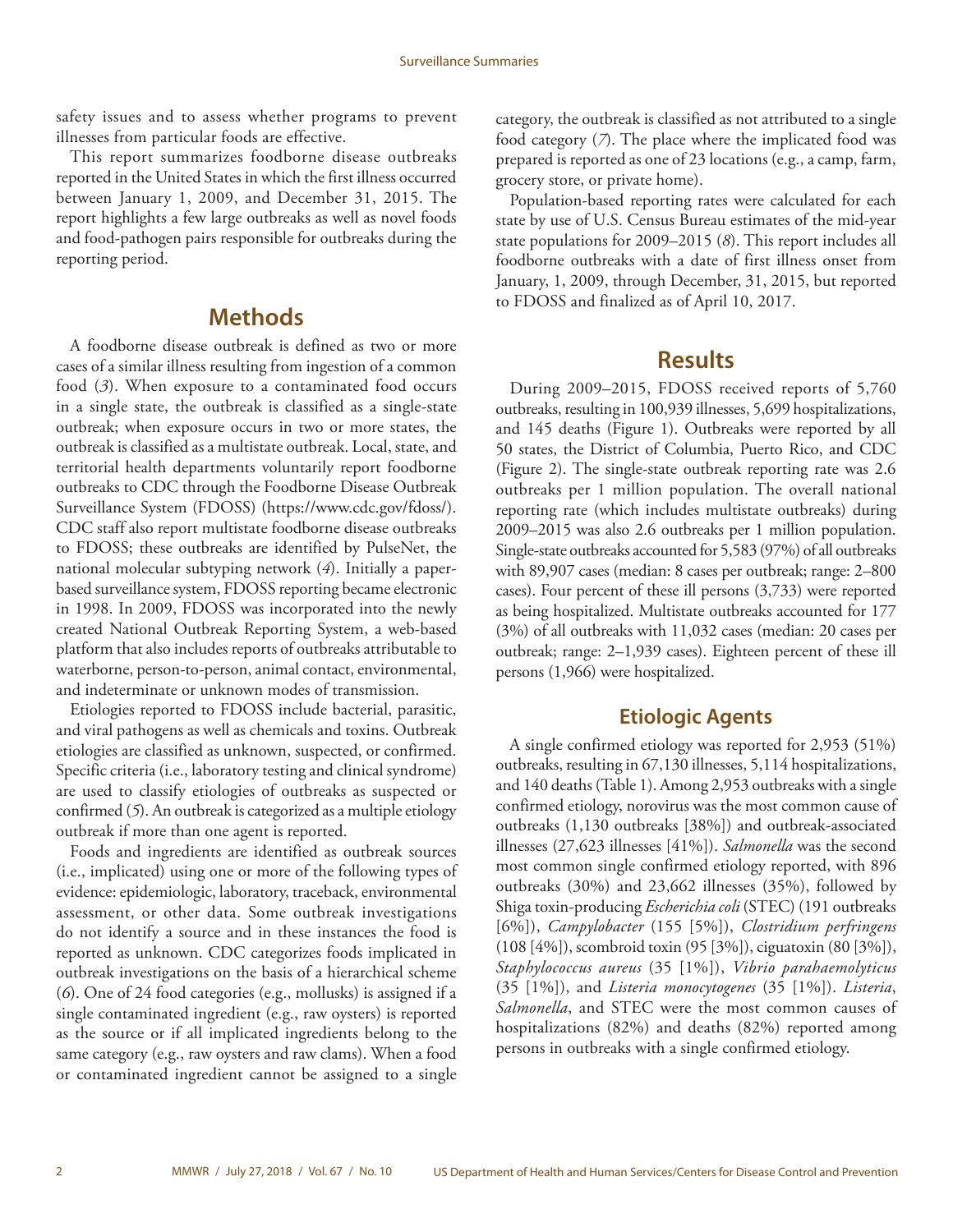<span id="page-3-0"></span>safety issues and to assess whether programs to prevent illnesses from particular foods are effective.

This report summarizes foodborne disease outbreaks reported in the United States in which the first illness occurred between January 1, 2009, and December 31, 2015. The report highlights a few large outbreaks as well as novel foods and food-pathogen pairs responsible for outbreaks during the reporting period.

# **Methods**

A foodborne disease outbreak is defined as two or more cases of a similar illness resulting from ingestion of a common food (*3*). When exposure to a contaminated food occurs in a single state, the outbreak is classified as a single-state outbreak; when exposure occurs in two or more states, the outbreak is classified as a multistate outbreak. Local, state, and territorial health departments voluntarily report foodborne outbreaks to CDC through the Foodborne Disease Outbreak Surveillance System (FDOSS) (<https://www.cdc.gov/fdoss/>). CDC staff also report multistate foodborne disease outbreaks to FDOSS; these outbreaks are identified by PulseNet, the national molecular subtyping network (*4*). Initially a paperbased surveillance system, FDOSS reporting became electronic in 1998. In 2009, FDOSS was incorporated into the newly created National Outbreak Reporting System, a web-based platform that also includes reports of outbreaks attributable to waterborne, person-to-person, animal contact, environmental, and indeterminate or unknown modes of transmission.

Etiologies reported to FDOSS include bacterial, parasitic, and viral pathogens as well as chemicals and toxins. Outbreak etiologies are classified as unknown, suspected, or confirmed. Specific criteria (i.e., laboratory testing and clinical syndrome) are used to classify etiologies of outbreaks as suspected or confirmed (*5*). An outbreak is categorized as a multiple etiology outbreak if more than one agent is reported.

Foods and ingredients are identified as outbreak sources (i.e., implicated) using one or more of the following types of evidence: epidemiologic, laboratory, traceback, environmental assessment, or other data. Some outbreak investigations do not identify a source and in these instances the food is reported as unknown. CDC categorizes foods implicated in outbreak investigations on the basis of a hierarchical scheme (*6*). One of 24 food categories (e.g., mollusks) is assigned if a single contaminated ingredient (e.g., raw oysters) is reported as the source or if all implicated ingredients belong to the same category (e.g., raw oysters and raw clams). When a food or contaminated ingredient cannot be assigned to a single

category, the outbreak is classified as not attributed to a single food category (*7*). The place where the implicated food was prepared is reported as one of 23 locations (e.g., a camp, farm, grocery store, or private home).

Population-based reporting rates were calculated for each state by use of U.S. Census Bureau estimates of the mid-year state populations for 2009–2015 (*8*). This report includes all foodborne outbreaks with a date of first illness onset from January, 1, 2009, through December, 31, 2015, but reported to FDOSS and finalized as of April 10, 2017.

# **Results**

During 2009–2015, FDOSS received reports of 5,760 outbreaks, resulting in 100,939 illnesses, 5,699 hospitalizations, and 145 deaths (Figure 1). Outbreaks were reported by all 50 states, the District of Columbia, Puerto Rico, and CDC (Figure 2). The single-state outbreak reporting rate was 2.6 outbreaks per 1 million population. The overall national reporting rate (which includes multistate outbreaks) during 2009–2015 was also 2.6 outbreaks per 1 million population. Single-state outbreaks accounted for 5,583 (97%) of all outbreaks with 89,907 cases (median: 8 cases per outbreak; range: 2–800 cases). Four percent of these ill persons (3,733) were reported as being hospitalized. Multistate outbreaks accounted for 177 (3%) of all outbreaks with 11,032 cases (median: 20 cases per outbreak; range: 2–1,939 cases). Eighteen percent of these ill persons (1,966) were hospitalized.

## **Etiologic Agents**

A single confirmed etiology was reported for 2,953 (51%) outbreaks, resulting in 67,130 illnesses, 5,114 hospitalizations, and 140 deaths (Table 1). Among 2,953 outbreaks with a single confirmed etiology, norovirus was the most common cause of outbreaks (1,130 outbreaks [38%]) and outbreak-associated illnesses (27,623 illnesses [41%]). *Salmonella* was the second most common single confirmed etiology reported, with 896 outbreaks (30%) and 23,662 illnesses (35%), followed by Shiga toxin-producing *Escherichia coli* (STEC) (191 outbreaks [6%]), *Campylobacter* (155 [5%]), *Clostridium perfringens* (108 [4%]), scombroid toxin (95 [3%]), ciguatoxin (80 [3%]), *Staphylococcus aureus* (35 [1%]), *Vibrio parahaemolyticus* (35 [1%]), and *Listeria monocytogenes* (35 [1%]). *Listeria*, *Salmonella*, and STEC were the most common causes of hospitalizations (82%) and deaths (82%) reported among persons in outbreaks with a single confirmed etiology.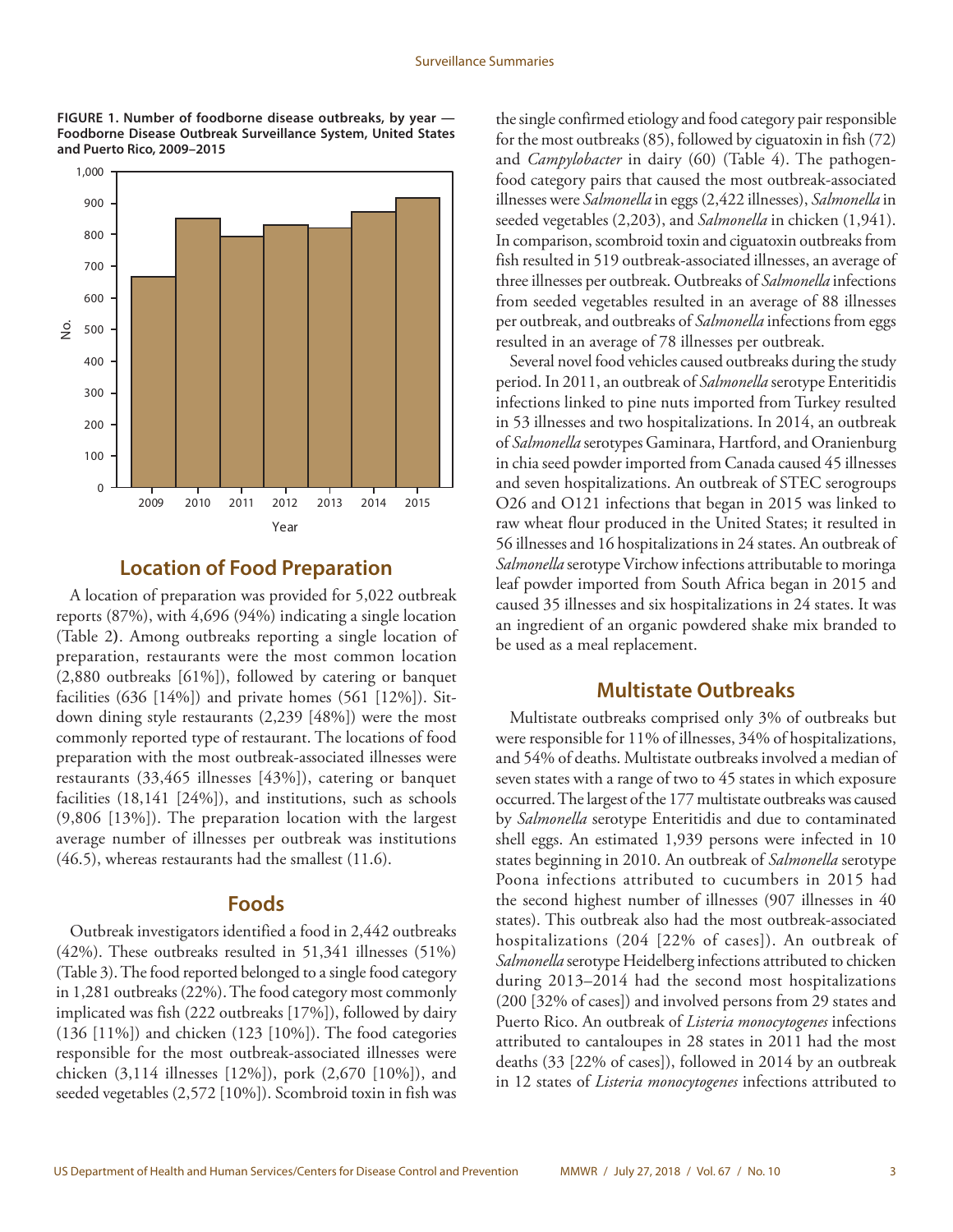

**FIGURE 1. Number of foodborne disease outbreaks, by year — Foodborne Disease Outbreak Surveillance System, United States and Puerto Rico, 2009–2015**

## **Location of Food Preparation**

A location of preparation was provided for 5,022 outbreak reports (87%), with 4,696 (94%) indicating a single location (Table 2**)**. Among outbreaks reporting a single location of preparation, restaurants were the most common location (2,880 outbreaks [61%]), followed by catering or banquet facilities (636 [14%]) and private homes (561 [12%]). Sitdown dining style restaurants (2,239 [48%]) were the most commonly reported type of restaurant. The locations of food preparation with the most outbreak-associated illnesses were restaurants (33,465 illnesses [43%]), catering or banquet facilities (18,141 [24%]), and institutions, such as schools (9,806 [13%]). The preparation location with the largest average number of illnesses per outbreak was institutions (46.5), whereas restaurants had the smallest (11.6).

## **Foods**

Outbreak investigators identified a food in 2,442 outbreaks (42%). These outbreaks resulted in 51,341 illnesses (51%) (Table 3). The food reported belonged to a single food category in 1,281 outbreaks (22%). The food category most commonly implicated was fish (222 outbreaks [17%]), followed by dairy (136 [11%]) and chicken (123 [10%]). The food categories responsible for the most outbreak-associated illnesses were chicken (3,114 illnesses [12%]), pork (2,670 [10%]), and seeded vegetables (2,572 [10%]). Scombroid toxin in fish was the single confirmed etiology and food category pair responsible for the most outbreaks (85), followed by ciguatoxin in fish (72) and *Campylobacter* in dairy (60) (Table 4). The pathogenfood category pairs that caused the most outbreak-associated illnesses were *Salmonella* in eggs (2,422 illnesses), *Salmonella* in seeded vegetables (2,203), and *Salmonella* in chicken (1,941). In comparison, scombroid toxin and ciguatoxin outbreaks from fish resulted in 519 outbreak-associated illnesses, an average of three illnesses per outbreak. Outbreaks of *Salmonella* infections from seeded vegetables resulted in an average of 88 illnesses per outbreak, and outbreaks of *Salmonella* infections from eggs resulted in an average of 78 illnesses per outbreak.

Several novel food vehicles caused outbreaks during the study period. In 2011, an outbreak of *Salmonella* serotype Enteritidis infections linked to pine nuts imported from Turkey resulted in 53 illnesses and two hospitalizations. In 2014, an outbreak of *Salmonella* serotypes Gaminara, Hartford, and Oranienburg in chia seed powder imported from Canada caused 45 illnesses and seven hospitalizations. An outbreak of STEC serogroups O26 and O121 infections that began in 2015 was linked to raw wheat flour produced in the United States; it resulted in 56 illnesses and 16 hospitalizations in 24 states. An outbreak of *Salmonella* serotype Virchow infections attributable to moringa leaf powder imported from South Africa began in 2015 and caused 35 illnesses and six hospitalizations in 24 states. It was an ingredient of an organic powdered shake mix branded to be used as a meal replacement.

## **Multistate Outbreaks**

Multistate outbreaks comprised only 3% of outbreaks but were responsible for 11% of illnesses, 34% of hospitalizations, and 54% of deaths. Multistate outbreaks involved a median of seven states with a range of two to 45 states in which exposure occurred. The largest of the 177 multistate outbreaks was caused by *Salmonella* serotype Enteritidis and due to contaminated shell eggs. An estimated 1,939 persons were infected in 10 states beginning in 2010. An outbreak of *Salmonella* serotype Poona infections attributed to cucumbers in 2015 had the second highest number of illnesses (907 illnesses in 40 states). This outbreak also had the most outbreak-associated hospitalizations (204 [22% of cases]). An outbreak of *Salmonella* serotype Heidelberg infections attributed to chicken during 2013–2014 had the second most hospitalizations (200 [32% of cases]) and involved persons from 29 states and Puerto Rico. An outbreak of *Listeria monocytogenes* infections attributed to cantaloupes in 28 states in 2011 had the most deaths (33 [22% of cases]), followed in 2014 by an outbreak in 12 states of *Listeria monocytogenes* infections attributed to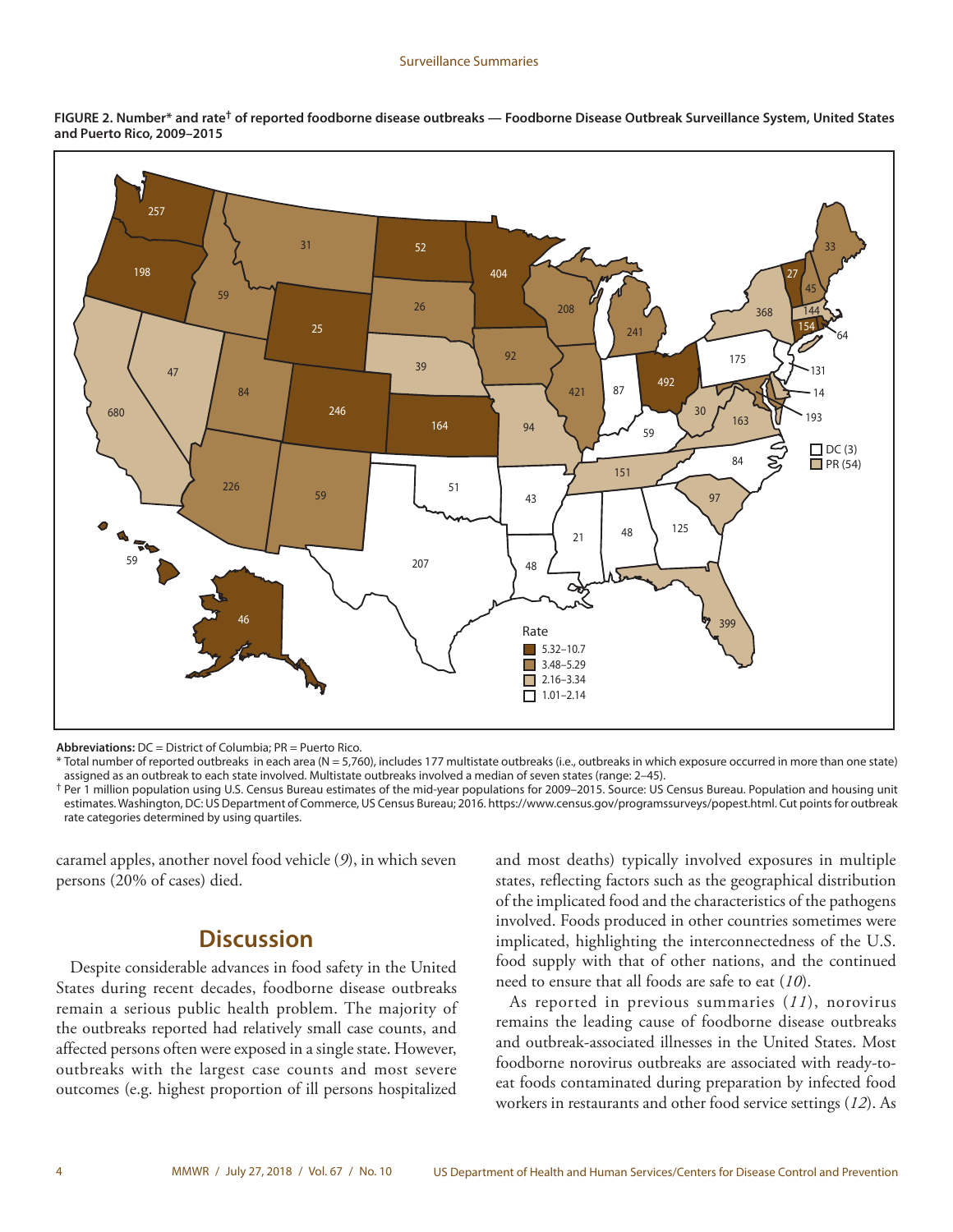#### Surveillance Summaries



<span id="page-5-0"></span>

**Abbreviations:** DC = District of Columbia; PR = Puerto Rico.

\* Total number of reported outbreaks in each area (N = 5,760), includes 177 multistate outbreaks (i.e., outbreaks in which exposure occurred in more than one state) assigned as an outbreak to each state involved. Multistate outbreaks involved a median of seven states (range: 2–45).

† Per 1 million population using U.S. Census Bureau estimates of the mid-year populations for 2009–2015. Source: US Census Bureau. Population and housing unit estimates. Washington, DC: US Department of Commerce, US Census Bureau; 2016. https://www.census.gov/programssurveys/popest.html. Cut points for outbreak rate categories determined by using quartiles.

caramel apples, another novel food vehicle (*9*), in which seven persons (20% of cases) died.

# **Discussion**

Despite considerable advances in food safety in the United States during recent decades, foodborne disease outbreaks remain a serious public health problem. The majority of the outbreaks reported had relatively small case counts, and affected persons often were exposed in a single state. However, outbreaks with the largest case counts and most severe outcomes (e.g. highest proportion of ill persons hospitalized and most deaths) typically involved exposures in multiple states, reflecting factors such as the geographical distribution of the implicated food and the characteristics of the pathogens involved. Foods produced in other countries sometimes were implicated, highlighting the interconnectedness of the U.S. food supply with that of other nations, and the continued need to ensure that all foods are safe to eat (*10*).

As reported in previous summaries (*11*), norovirus remains the leading cause of foodborne disease outbreaks and outbreak-associated illnesses in the United States. Most foodborne norovirus outbreaks are associated with ready-toeat foods contaminated during preparation by infected food workers in restaurants and other food service settings (*12*). As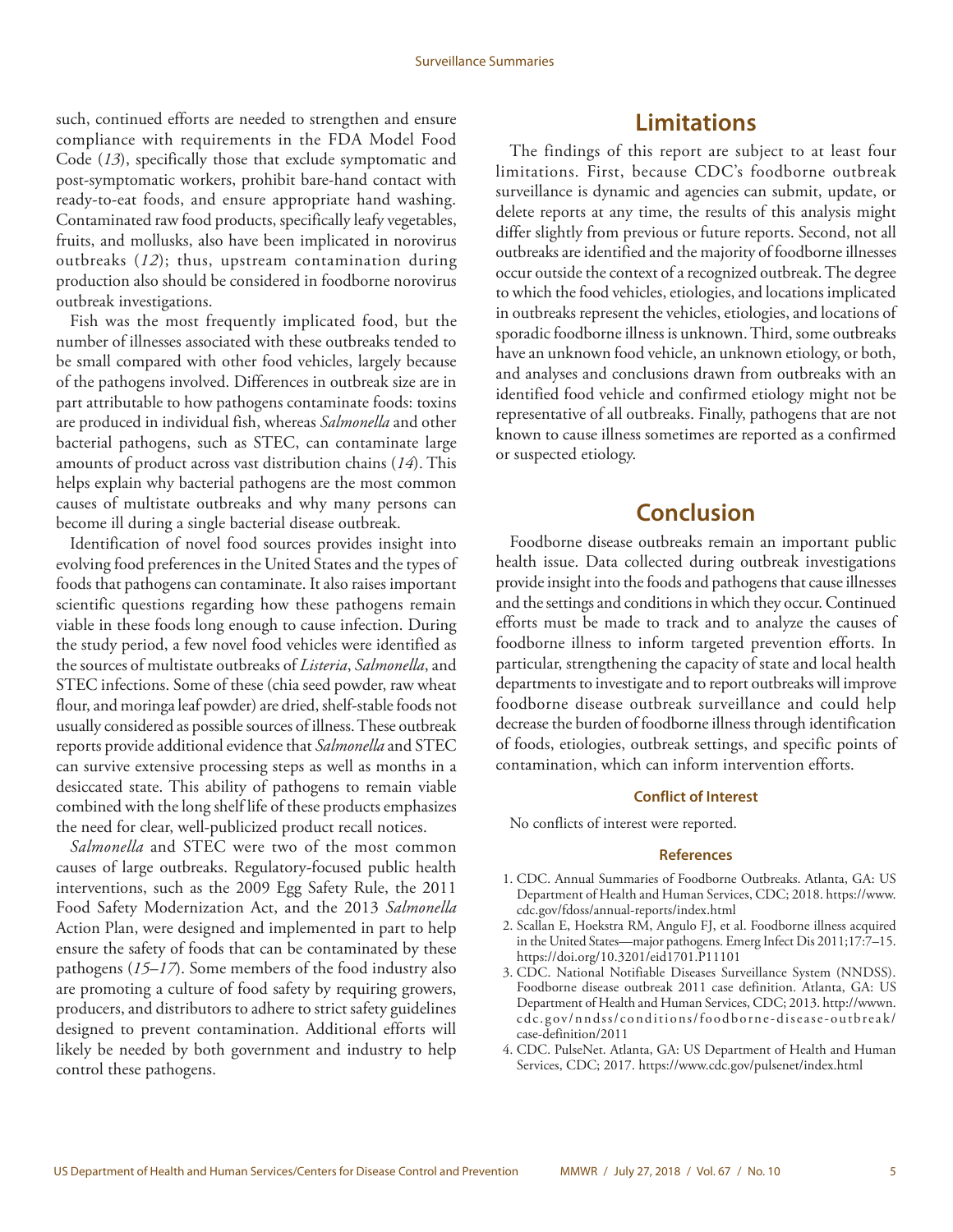<span id="page-6-0"></span>such, continued efforts are needed to strengthen and ensure compliance with requirements in the FDA Model Food Code (*13*), specifically those that exclude symptomatic and post-symptomatic workers, prohibit bare-hand contact with ready-to-eat foods, and ensure appropriate hand washing. Contaminated raw food products, specifically leafy vegetables, fruits, and mollusks, also have been implicated in norovirus outbreaks (*12*); thus, upstream contamination during production also should be considered in foodborne norovirus outbreak investigations.

Fish was the most frequently implicated food, but the number of illnesses associated with these outbreaks tended to be small compared with other food vehicles, largely because of the pathogens involved. Differences in outbreak size are in part attributable to how pathogens contaminate foods: toxins are produced in individual fish, whereas *Salmonella* and other bacterial pathogens, such as STEC, can contaminate large amounts of product across vast distribution chains (*14*). This helps explain why bacterial pathogens are the most common causes of multistate outbreaks and why many persons can become ill during a single bacterial disease outbreak.

Identification of novel food sources provides insight into evolving food preferences in the United States and the types of foods that pathogens can contaminate. It also raises important scientific questions regarding how these pathogens remain viable in these foods long enough to cause infection. During the study period, a few novel food vehicles were identified as the sources of multistate outbreaks of *Listeria*, *Salmonella*, and STEC infections. Some of these (chia seed powder, raw wheat flour, and moringa leaf powder) are dried, shelf-stable foods not usually considered as possible sources of illness. These outbreak reports provide additional evidence that *Salmonella* and STEC can survive extensive processing steps as well as months in a desiccated state. This ability of pathogens to remain viable combined with the long shelf life of these products emphasizes the need for clear, well-publicized product recall notices.

*Salmonella* and STEC were two of the most common causes of large outbreaks. Regulatory-focused public health interventions, such as the 2009 Egg Safety Rule, the 2011 Food Safety Modernization Act, and the 2013 *Salmonella* Action Plan, were designed and implemented in part to help ensure the safety of foods that can be contaminated by these pathogens (*15*–*17*). Some members of the food industry also are promoting a culture of food safety by requiring growers, producers, and distributors to adhere to strict safety guidelines designed to prevent contamination. Additional efforts will likely be needed by both government and industry to help control these pathogens.

# **Limitations**

The findings of this report are subject to at least four limitations. First, because CDC's foodborne outbreak surveillance is dynamic and agencies can submit, update, or delete reports at any time, the results of this analysis might differ slightly from previous or future reports. Second, not all outbreaks are identified and the majority of foodborne illnesses occur outside the context of a recognized outbreak. The degree to which the food vehicles, etiologies, and locations implicated in outbreaks represent the vehicles, etiologies, and locations of sporadic foodborne illness is unknown. Third, some outbreaks have an unknown food vehicle, an unknown etiology, or both, and analyses and conclusions drawn from outbreaks with an identified food vehicle and confirmed etiology might not be representative of all outbreaks. Finally, pathogens that are not known to cause illness sometimes are reported as a confirmed or suspected etiology.

# **Conclusion**

Foodborne disease outbreaks remain an important public health issue. Data collected during outbreak investigations provide insight into the foods and pathogens that cause illnesses and the settings and conditions in which they occur. Continued efforts must be made to track and to analyze the causes of foodborne illness to inform targeted prevention efforts. In particular, strengthening the capacity of state and local health departments to investigate and to report outbreaks will improve foodborne disease outbreak surveillance and could help decrease the burden of foodborne illness through identification of foods, etiologies, outbreak settings, and specific points of contamination, which can inform intervention efforts.

## **Conflict of Interest**

No conflicts of interest were reported.

#### **References**

- 1. CDC. Annual Summaries of Foodborne Outbreaks. Atlanta, GA: US Department of Health and Human Services, CDC; 2018. [https://www.](https://www.cdc.gov/fdoss/annual-reports/index.html) [cdc.gov/fdoss/annual-reports/index.html](https://www.cdc.gov/fdoss/annual-reports/index.html)
- 2. Scallan E, Hoekstra RM, Angulo FJ, et al. Foodborne illness acquired in the United States—major pathogens. Emerg Infect Dis 2011;17:7–15. <https://doi.org/10.3201/eid1701.P11101>
- 3. CDC. National Notifiable Diseases Surveillance System (NNDSS). Foodborne disease outbreak 2011 case definition. Atlanta, GA: US Department of Health and Human Services, CDC; 2013. [http://wwwn.](http://wwwn.cdc.gov/nndss/conditions/foodborne-disease-outbreak/case-definition/2011) [cdc.gov/nndss/conditions/foodborne-disease-outbreak/](http://wwwn.cdc.gov/nndss/conditions/foodborne-disease-outbreak/case-definition/2011) [case-definition/2011](http://wwwn.cdc.gov/nndss/conditions/foodborne-disease-outbreak/case-definition/2011)
- 4. CDC. PulseNet. Atlanta, GA: US Department of Health and Human Services, CDC; 2017.<https://www.cdc.gov/pulsenet/index.html>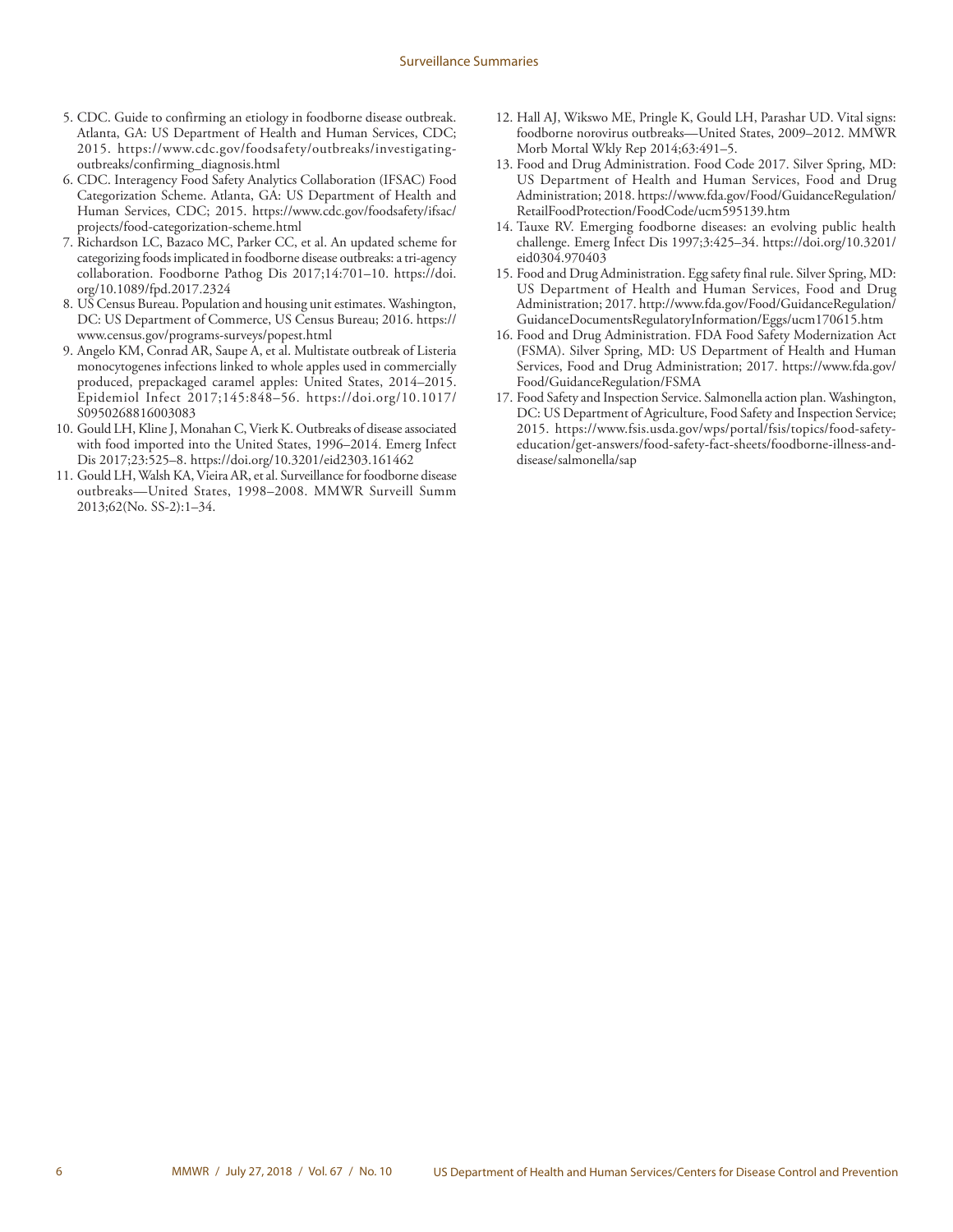- 5. CDC. Guide to confirming an etiology in foodborne disease outbreak. Atlanta, GA: US Department of Health and Human Services, CDC; 2015. [https://www.cdc.gov/foodsafety/outbreaks/investigating](https://www.cdc.gov/foodsafety/outbreaks/investigating-outbreaks/confirming_diagnosis.html)[outbreaks/confirming\\_diagnosis.html](https://www.cdc.gov/foodsafety/outbreaks/investigating-outbreaks/confirming_diagnosis.html)
- 6. CDC. Interagency Food Safety Analytics Collaboration (IFSAC) Food Categorization Scheme. Atlanta, GA: US Department of Health and Human Services, CDC; 2015. [https://www.cdc.gov/foodsafety/ifsac/](https://www.cdc.gov/foodsafety/ifsac/projects/food-categorization-scheme.html) [projects/food-categorization-scheme.html](https://www.cdc.gov/foodsafety/ifsac/projects/food-categorization-scheme.html)
- 7. Richardson LC, Bazaco MC, Parker CC, et al. An updated scheme for categorizing foods implicated in foodborne disease outbreaks: a tri-agency collaboration. Foodborne Pathog Dis 2017;14:701–10. [https://doi.](https://doi.org/10.1089/fpd.2017.2324) [org/10.1089/fpd.2017.2324](https://doi.org/10.1089/fpd.2017.2324)
- 8. US Census Bureau. Population and housing unit estimates. Washington, DC: US Department of Commerce, US Census Bureau; 2016. [https://](https://www.census.gov/programs-surveys/popest.html) [www.census.gov/programs-surveys/popest.html](https://www.census.gov/programs-surveys/popest.html)
- 9. Angelo KM, Conrad AR, Saupe A, et al. Multistate outbreak of Listeria monocytogenes infections linked to whole apples used in commercially produced, prepackaged caramel apples: United States, 2014–2015. Epidemiol Infect 2017;145:848–56. [https://doi.org/10.1017/](https://doi.org/10.1017/S0950268816003083) [S0950268816003083](https://doi.org/10.1017/S0950268816003083)
- 10. Gould LH, Kline J, Monahan C, Vierk K. Outbreaks of disease associated with food imported into the United States, 1996–2014. Emerg Infect Dis 2017;23:525–8.<https://doi.org/10.3201/eid2303.161462>
- 11. Gould LH, Walsh KA, Vieira AR, et al. Surveillance for foodborne disease outbreaks—United States, 1998–2008. MMWR Surveill Summ 2013;62(No. SS-2):1–34.
- 12. Hall AJ, Wikswo ME, Pringle K, Gould LH, Parashar UD. Vital signs: foodborne norovirus outbreaks—United States, 2009–2012. MMWR Morb Mortal Wkly Rep 2014;63:491–5.
- 13. Food and Drug Administration. Food Code 2017. Silver Spring, MD: US Department of Health and Human Services, Food and Drug Administration; 2018. [https://www.fda.gov/Food/GuidanceRegulation/](https://www.fda.gov/Food/GuidanceRegulation/RetailFoodProtection/FoodCode/ucm595139.htm) [RetailFoodProtection/FoodCode/ucm595139.htm](https://www.fda.gov/Food/GuidanceRegulation/RetailFoodProtection/FoodCode/ucm595139.htm)
- 14. Tauxe RV. Emerging foodborne diseases: an evolving public health challenge. Emerg Infect Dis 1997;3:425–34. [https://doi.org/10.3201/](https://doi.org/10.3201/eid0304.970403) [eid0304.970403](https://doi.org/10.3201/eid0304.970403)
- 15. Food and Drug Administration. Egg safety final rule. Silver Spring, MD: US Department of Health and Human Services, Food and Drug Administration; 2017. [http://www.fda.gov/Food/GuidanceRegulation/](http://www.fda.gov/Food/GuidanceRegulation/GuidanceDocumentsRegulatoryInformation/Eggs/ucm170615.htm) [GuidanceDocumentsRegulatoryInformation/Eggs/ucm170615.htm](http://www.fda.gov/Food/GuidanceRegulation/GuidanceDocumentsRegulatoryInformation/Eggs/ucm170615.htm)
- 16. Food and Drug Administration. FDA Food Safety Modernization Act (FSMA). Silver Spring, MD: US Department of Health and Human Services, Food and Drug Administration; 2017. [https://www.fda.gov/](https://www.fda.gov/Food/GuidanceRegulation/FSMA) [Food/GuidanceRegulation/FSMA](https://www.fda.gov/Food/GuidanceRegulation/FSMA)
- 17. Food Safety and Inspection Service. Salmonella action plan. Washington, DC: US Department of Agriculture, Food Safety and Inspection Service; 2015. [https://www.fsis.usda.gov/wps/portal/fsis/topics/food-safety](https://www.fsis.usda.gov/wps/portal/fsis/topics/food-safety-education/get-answers/food-safety-fact-sheets/foodborne-illness-and-disease/salmonella/sap)[education/get-answers/food-safety-fact-sheets/foodborne-illness-and](https://www.fsis.usda.gov/wps/portal/fsis/topics/food-safety-education/get-answers/food-safety-fact-sheets/foodborne-illness-and-disease/salmonella/sap)[disease/salmonella/sap](https://www.fsis.usda.gov/wps/portal/fsis/topics/food-safety-education/get-answers/food-safety-fact-sheets/foodborne-illness-and-disease/salmonella/sap)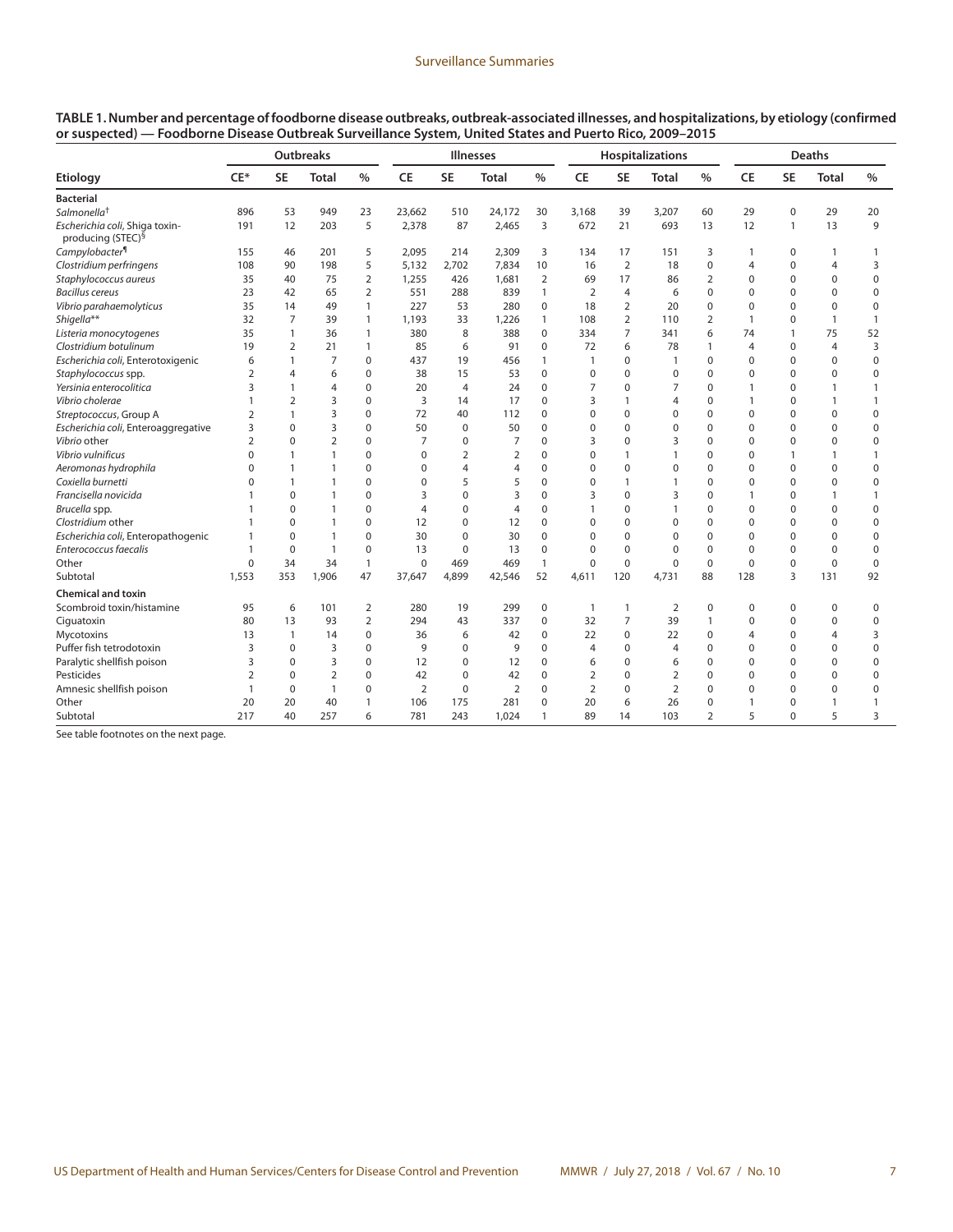|                                     | Outbreaks      |                |                | Illnesses      |                |                |                | <b>Hospitalizations</b> |                |                |                | <b>Deaths</b>  |              |                |                |                |
|-------------------------------------|----------------|----------------|----------------|----------------|----------------|----------------|----------------|-------------------------|----------------|----------------|----------------|----------------|--------------|----------------|----------------|----------------|
| Etiology                            | $CE^*$         | <b>SE</b>      | <b>Total</b>   | $\frac{0}{0}$  | <b>CE</b>      | <b>SE</b>      | <b>Total</b>   | $\frac{0}{0}$           | <b>CE</b>      | <b>SE</b>      | <b>Total</b>   | $\%$           | <b>CE</b>    | <b>SE</b>      | <b>Total</b>   | $\%$           |
| Bacterial                           |                |                |                |                |                |                |                |                         |                |                |                |                |              |                |                |                |
| Salmonella <sup>†</sup>             | 896            | 53             | 949            | 23             | 23,662         | 510            | 24,172         | 30                      | 3,168          | 39             | 3,207          | 60             | 29           | $\mathbf 0$    | 29             | 20             |
| Escherichia coli, Shiga toxin-      | 191            | 12             | 203            | 5              | 2,378          | 87             | 2,465          | 3                       | 672            | 21             | 693            | 13             | 12           | $\overline{1}$ | 13             | 9              |
| producing (STEC) <sup>§</sup>       |                |                |                |                |                |                |                |                         |                |                |                |                |              |                |                |                |
| Campylobacter <sup>¶</sup>          | 155            | 46             | 201            | 5              | 2,095          | 214            | 2,309          | 3                       | 134            | 17             | 151            | 3              | 1            | $\Omega$       |                |                |
| Clostridium perfringens             | 108            | 90             | 198            | 5              | 5,132          | 2,702          | 7,834          | 10                      | 16             | $\overline{2}$ | 18             | 0              | 4            | $\mathbf 0$    | $\overline{4}$ | 3              |
| Staphylococcus aureus               | 35             | 40             | 75             | $\overline{2}$ | 1,255          | 426            | 1,681          | $\overline{2}$          | 69             | 17             | 86             | 2              | 0            | $\Omega$       | $\Omega$       | $\Omega$       |
| <b>Bacillus</b> cereus              | 23             | 42             | 65             | 2              | 551            | 288            | 839            | 1                       | 2              | $\overline{4}$ | 6              | $\Omega$       | 0            | $\mathbf 0$    | $\Omega$       | $\mathbf 0$    |
| Vibrio parahaemolyticus             | 35             | 14             | 49             | $\mathbf{1}$   | 227            | 53             | 280            | 0                       | 18             | $\overline{2}$ | 20             | $\Omega$       | 0            | $\Omega$       | $\Omega$       | $\Omega$       |
| Shigella**                          | 32             | 7              | 39             | $\mathbf{1}$   | 1,193          | 33             | 1,226          | 1                       | 108            | 2              | 110            | $\overline{2}$ | $\mathbf{1}$ | $\mathbf 0$    | $\mathbf{1}$   | 1              |
| Listeria monocytogenes              | 35             | 1              | 36             | $\mathbf{1}$   | 380            | 8              | 388            | $\mathbf 0$             | 334            | $\overline{7}$ | 341            | 6              | 74           | 1              | 75             | 52             |
| Clostridium botulinum               | 19             | 2              | 21             | $\overline{1}$ | 85             | 6              | 91             | 0                       | 72             | 6              | 78             | $\mathbf{1}$   | 4            | $\mathbf 0$    | $\overline{4}$ | 3              |
| Escherichia coli, Enterotoxigenic   | 6              |                | $\overline{7}$ | $\mathbf 0$    | 437            | 19             | 456            | $\mathbf{1}$            | $\mathbf{1}$   | $\mathbf 0$    | $\mathbf{1}$   | $\mathbf 0$    | 0            | $\Omega$       | $\mathbf 0$    | $\mathbf 0$    |
| Staphylococcus spp.                 | $\overline{2}$ | 4              | 6              | $\mathbf 0$    | 38             | 15             | 53             | $\mathbf 0$             | $\mathbf 0$    | $\mathbf 0$    | $\mathbf 0$    | $\Omega$       | 0            | $\mathbf 0$    | $\Omega$       | $\mathbf 0$    |
| Yersinia enterocolitica             | 3              | 1              | $\overline{4}$ | $\Omega$       | 20             | $\overline{4}$ | 24             | 0                       |                | $\Omega$       | 7              | $\Omega$       | 1            | $\Omega$       |                | $\mathbf{1}$   |
| Vibrio cholerae                     |                | $\overline{2}$ | $\overline{3}$ | $\Omega$       | 3              | 14             | 17             | $\Omega$                | 3              | $\mathbf{1}$   | 4              | $\Omega$       | $\mathbf{1}$ | $\Omega$       |                | $\mathbf{1}$   |
| Streptococcus, Group A              | $\overline{2}$ |                | $\overline{3}$ | $\mathbf 0$    | 72             | 40             | 112            | 0                       | $\Omega$       | $\Omega$       | $\Omega$       | $\Omega$       | 0            | $\Omega$       | $\mathbf{0}$   | $\mathbf 0$    |
| Escherichia coli, Enteroaggregative | ξ              | 0              | 3              | 0              | 50             | $\mathbf 0$    | 50             | 0                       | 0              | $\Omega$       | $\Omega$       | $\Omega$       | 0            | $\mathbf 0$    | $\Omega$       | $\Omega$       |
| Vibrio other                        |                | $\Omega$       | $\overline{2}$ | $\Omega$       | 7              | $\Omega$       | 7              | $\Omega$                | 3              | $\Omega$       | 3              | $\Omega$       | 0            | $\Omega$       | $\Omega$       | $\Omega$       |
| Vibrio vulnificus                   | $\Omega$       |                | $\mathbf{1}$   | $\mathbf 0$    | $\mathbf 0$    | 2              | $\overline{2}$ | 0                       | 0              |                |                | 0              | 0            |                |                | $\mathbf{1}$   |
| Aeromonas hydrophila                | U              |                | $\mathbf{1}$   | 0              | $\mathbf 0$    | 4              | $\overline{4}$ | 0                       | $\Omega$       | $\Omega$       | $\Omega$       | $\Omega$       | 0            | $\mathbf 0$    | $\Omega$       | $\mathbf 0$    |
| Coxiella burnetti                   | $\Omega$       |                | $\mathbf{1}$   | $\mathbf 0$    | $\mathbf 0$    | 5              | 5              | $\Omega$                | $\Omega$       | $\mathbf{1}$   |                | $\Omega$       | 0            | $\Omega$       | $\Omega$       | 0              |
| Francisella novicida                |                | 0              | $\mathbf{1}$   | $\Omega$       | 3              | $\Omega$       | 3              | $\Omega$                | 3              | $\Omega$       | 3              | $\Omega$       | $\mathbf{1}$ | $\Omega$       |                | 1              |
| Brucella spp.                       |                | 0              | $\overline{1}$ | $\mathbf 0$    | $\overline{4}$ | 0              | $\overline{4}$ | 0                       |                | $\mathbf 0$    |                | $\mathbf 0$    | 0            | $\mathbf 0$    | 0              | $\mathbf 0$    |
| Clostridium other                   |                | $\Omega$       | $\mathbf{1}$   | 0              | 12             | $\Omega$       | 12             | 0                       | $\Omega$       | $\Omega$       | $\Omega$       | $\Omega$       | 0            | $\Omega$       | $\Omega$       | $\Omega$       |
| Escherichia coli, Enteropathogenic  |                | $\Omega$       | $\mathbf{1}$   | $\Omega$       | 30             | $\Omega$       | 30             | $\Omega$                | $\Omega$       | $\Omega$       | $\Omega$       | $\Omega$       | 0            | $\mathbf 0$    | $\Omega$       | $\Omega$       |
| Enterococcus faecalis               |                | $\Omega$       | $\mathbf{1}$   | $\Omega$       | 13             | $\Omega$       | 13             | $\Omega$                | $\Omega$       | $\Omega$       | $\Omega$       | $\mathbf{0}$   | 0            | $\Omega$       | $\Omega$       | $\Omega$       |
| Other                               | $\Omega$       | 34             | 34             | $\overline{1}$ | $\mathbf 0$    | 469            | 469            | $\mathbf{1}$            | $\mathbf 0$    | $\mathbf 0$    | $\mathbf 0$    | 0              | 0            | $\mathbf 0$    | $\mathbf 0$    | $\mathbf 0$    |
| Subtotal                            | 1,553          | 353            | 1,906          | 47             | 37,647         | 4,899          | 42,546         | 52                      | 4,611          | 120            | 4,731          | 88             | 128          | 3              | 131            | 92             |
| <b>Chemical and toxin</b>           |                |                |                |                |                |                |                |                         |                |                |                |                |              |                |                |                |
| Scombroid toxin/histamine           | 95             | 6              | 101            | 2              | 280            | 19             | 299            | 0                       | $\mathbf{1}$   | $\mathbf{1}$   | 2              | 0              | 0            | 0              | 0              | 0              |
| Ciguatoxin                          | 80             | 13             | 93             | $\overline{2}$ | 294            | 43             | 337            | 0                       | 32             | $\overline{7}$ | 39             | 1              | 0            | $\mathbf 0$    | $\mathbf 0$    | $\mathbf 0$    |
| <b>Mycotoxins</b>                   | 13             | $\mathbf{1}$   | 14             | $\mathbf 0$    | 36             | 6              | 42             | 0                       | 22             | $\mathbf 0$    | 22             | 0              | 4            | $\mathbf 0$    | 4              | 3              |
| Puffer fish tetrodotoxin            | 3              | 0              | 3              | $\mathbf 0$    | 9              | $\mathbf 0$    | 9              | 0                       | 4              | $\Omega$       | $\overline{4}$ | 0              | 0            | $\mathbf 0$    | $\Omega$       | $\mathbf 0$    |
| Paralytic shellfish poison          | ξ              | $\Omega$       | 3              | $\Omega$       | 12             | $\Omega$       | 12             | 0                       | 6              | $\Omega$       | 6              | $\Omega$       | 0            | $\Omega$       | $\Omega$       | $\Omega$       |
| Pesticides                          |                | 0              | 2              | 0              | 42             | 0              | 42             | 0                       | $\overline{2}$ | $\mathbf 0$    | $\overline{2}$ | 0              | 0            | $\mathbf 0$    | $\Omega$       | $\mathbf 0$    |
| Amnesic shellfish poison            | 1              | 0              | $\mathbf{1}$   | $\mathbf 0$    | $\overline{2}$ | $\bf 0$        | $\overline{2}$ | 0                       | 2              | $\mathbf 0$    | $\overline{2}$ | 0              | 0            | $\mathbf 0$    | 0              | $\mathbf 0$    |
| Other                               | 20             | 20             | 40             | 1              | 106            | 175            | 281            | 0                       | 20             | 6              | 26             | 0              | 1            | $\mathbf 0$    |                |                |
| Subtotal                            | 217            | 40             | 257            | 6              | 781            | 243            | 1,024          | 1                       | 89             | 14             | 103            | $\overline{2}$ | 5            | $\Omega$       | 5              | $\overline{3}$ |

**TABLE 1. Number and percentage of foodborne disease outbreaks, outbreak-associated illnesses, and hospitalizations, by etiology (confirmed or suspected) — Foodborne Disease Outbreak Surveillance System, United States and Puerto Rico, 2009–2015**

See table footnotes on the next page.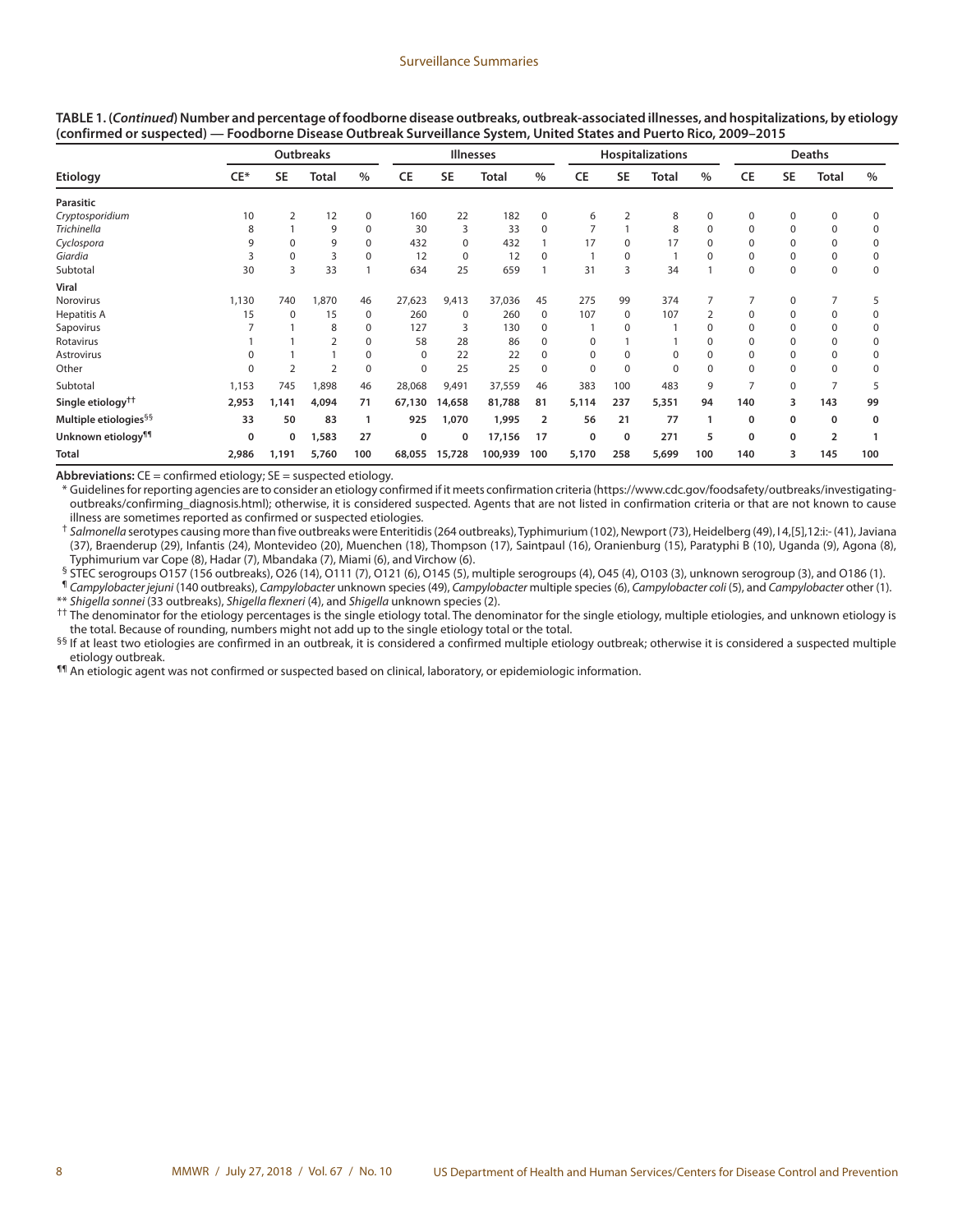|                                   |             | Outbreaks      |                |          |           | <b>Illnesses</b> |              |                | <b>Hospitalizations</b> |                |          |             | <b>Deaths</b>  |             |                |          |
|-----------------------------------|-------------|----------------|----------------|----------|-----------|------------------|--------------|----------------|-------------------------|----------------|----------|-------------|----------------|-------------|----------------|----------|
| Etiology                          | $CE^*$      | <b>SE</b>      | Total          | $\%$     | <b>CE</b> | <b>SE</b>        | <b>Total</b> | $\%$           | <b>CE</b>               | <b>SE</b>      | Total    | $\%$        | <b>CE</b>      | <b>SE</b>   | <b>Total</b>   | $\%$     |
| <b>Parasitic</b>                  |             |                |                |          |           |                  |              |                |                         |                |          |             |                |             |                |          |
| Cryptosporidium                   | 10          | $\overline{2}$ | 12             | $\Omega$ | 160       | 22               | 182          | 0              | 6                       | $\overline{2}$ | 8        | $\mathbf 0$ | 0              | $\Omega$    | $\mathbf 0$    | $\Omega$ |
| <b>Trichinella</b>                | 8           |                | 9              | $\Omega$ | 30        | 3                | 33           | $\Omega$       |                         |                | 8        | $\mathbf 0$ | 0              | $\Omega$    | $\Omega$       | 0        |
| Cyclospora                        | q           | $\Omega$       | 9              | $\Omega$ | 432       | 0                | 432          |                | 17                      | $\Omega$       | 17       | 0           | 0              | 0           | 0              |          |
| Giardia                           |             | 0              | 3              | 0        | 12        | 0                | 12           | 0              |                         | $\Omega$       |          | $\Omega$    | 0              | 0           | 0              | 0        |
| Subtotal                          | 30          | 3              | 33             |          | 634       | 25               | 659          |                | 31                      | 3              | 34       |             | $\mathbf 0$    | 0           | 0              | 0        |
| Viral                             |             |                |                |          |           |                  |              |                |                         |                |          |             |                |             |                |          |
| Norovirus                         | 1,130       | 740            | ,870           | 46       | 27,623    | 9,413            | 37,036       | 45             | 275                     | 99             | 374      | 7           | 7              | 0           | 7              |          |
| <b>Hepatitis A</b>                | 15          | $\Omega$       | 15             | 0        | 260       | 0                | 260          | 0              | 107                     | 0              | 107      | 2           | 0              | 0           | $\Omega$       |          |
| Sapovirus                         |             |                | 8              | $\Omega$ | 127       | 3                | 130          | 0              |                         | $\Omega$       |          | 0           | 0              | $\mathbf 0$ | 0              |          |
| Rotavirus                         |             |                | $\overline{2}$ | $\Omega$ | 58        | 28               | 86           | 0              | 0                       |                |          | 0           | 0              | 0           | 0              | 0        |
| Astrovirus                        |             |                |                | 0        | 0         | 22               | 22           | 0              | $\mathbf 0$             | $\Omega$       | 0        | 0           | 0              | 0           | 0              |          |
| Other                             |             | $\overline{2}$ | $\overline{2}$ | $\Omega$ | 0         | 25               | 25           | 0              | $\Omega$                | $\Omega$       | $\Omega$ | 0           | 0              | 0           | 0              | 0        |
| Subtotal                          | 1,153       | 745            | 1,898          | 46       | 28,068    | 9,491            | 37,559       | 46             | 383                     | 100            | 483      | 9           | $\overline{7}$ | 0           | 7              | 5        |
| Single etiology <sup>††</sup>     | 2,953       | 1,141          | 4,094          | 71       | 67,130    | 14,658           | 81,788       | 81             | 5,114                   | 237            | 5,351    | 94          | 140            | 3           | 143            | 99       |
| Multiple etiologies <sup>§§</sup> | 33          | 50             | 83             |          | 925       | 1,070            | 1,995        | $\overline{2}$ | 56                      | 21             | 77       | 1           | 0              | 0           | 0              | 0        |
| Unknown etiology <sup>11</sup>    | $\mathbf 0$ | 0              | 1,583          | 27       | 0         | 0                | 17,156       | 17             | 0                       | 0              | 271      | 5           | 0              | 0           | $\overline{2}$ |          |
| <b>Total</b>                      | 2,986       | 1,191          | 5,760          | 100      | 68,055    | 15,728           | 100,939      | 100            | 5,170                   | 258            | 5,699    | 100         | 140            | 3           | 145            | 100      |

| TABLE 1. (Continued) Number and percentage of foodborne disease outbreaks, outbreak-associated illnesses, and hospitalizations, by etiology |
|---------------------------------------------------------------------------------------------------------------------------------------------|
| (confirmed or suspected) — Foodborne Disease Outbreak Surveillance System, United States and Puerto Rico, 2009–2015                         |

**Abbreviations:** CE = confirmed etiology; SE = suspected etiology.

\* Guidelines for reporting agencies are to consider an etiology confirmed if it meets confirmation criteria ([https://www.cdc.gov/foodsafety/outbreaks/investigating](https://www.cdc.gov/foodsafety/outbreaks/investigating-outbreaks/confirming_diagnosis.html)[outbreaks/confirming\\_diagnosis.html\)](https://www.cdc.gov/foodsafety/outbreaks/investigating-outbreaks/confirming_diagnosis.html); otherwise, it is considered suspected. Agents that are not listed in confirmation criteria or that are not known to cause illness are sometimes reported as confirmed or suspected etiologies.

† *Salmonella* serotypes causing more than five outbreaks were Enteritidis (264 outbreaks), Typhimurium (102), Newport (73), Heidelberg (49), I 4,[5],12:i:- (41), Javiana (37), Braenderup (29), Infantis (24), Montevideo (20), Muenchen (18), Thompson (17), Saintpaul (16), Oranienburg (15), Paratyphi B (10), Uganda (9), Agona (8), Typhimurium var Cope (8), Hadar (7), Mbandaka (7), Miami (6), and Virchow (6).

§ STEC serogroups O157 (156 outbreaks), O26 (14), O111 (7), O121 (6), O145 (5), multiple serogroups (4), O45 (4), O103 (3), unknown serogroup (3), and O186 (1).

¶ *Campylobacter jejuni* (140 outbreaks), *Campylobacter* unknown species (49), *Campylobacter* multiple species (6), *Campylobacter coli* (5), and *Campylobacter* other (1).

\*\* *Shigella sonnei* (33 outbreaks), *Shigella flexneri* (4), and *Shigella* unknown species (2).

<sup>††</sup> The denominator for the etiology percentages is the single etiology total. The denominator for the single etiology, multiple etiologies, and unknown etiology is the total. Because of rounding, numbers might not add up to the single etiology total or the total.

§§ If at least two etiologies are confirmed in an outbreak, it is considered a confirmed multiple etiology outbreak; otherwise it is considered a suspected multiple etiology outbreak.

¶¶ An etiologic agent was not confirmed or suspected based on clinical, laboratory, or epidemiologic information.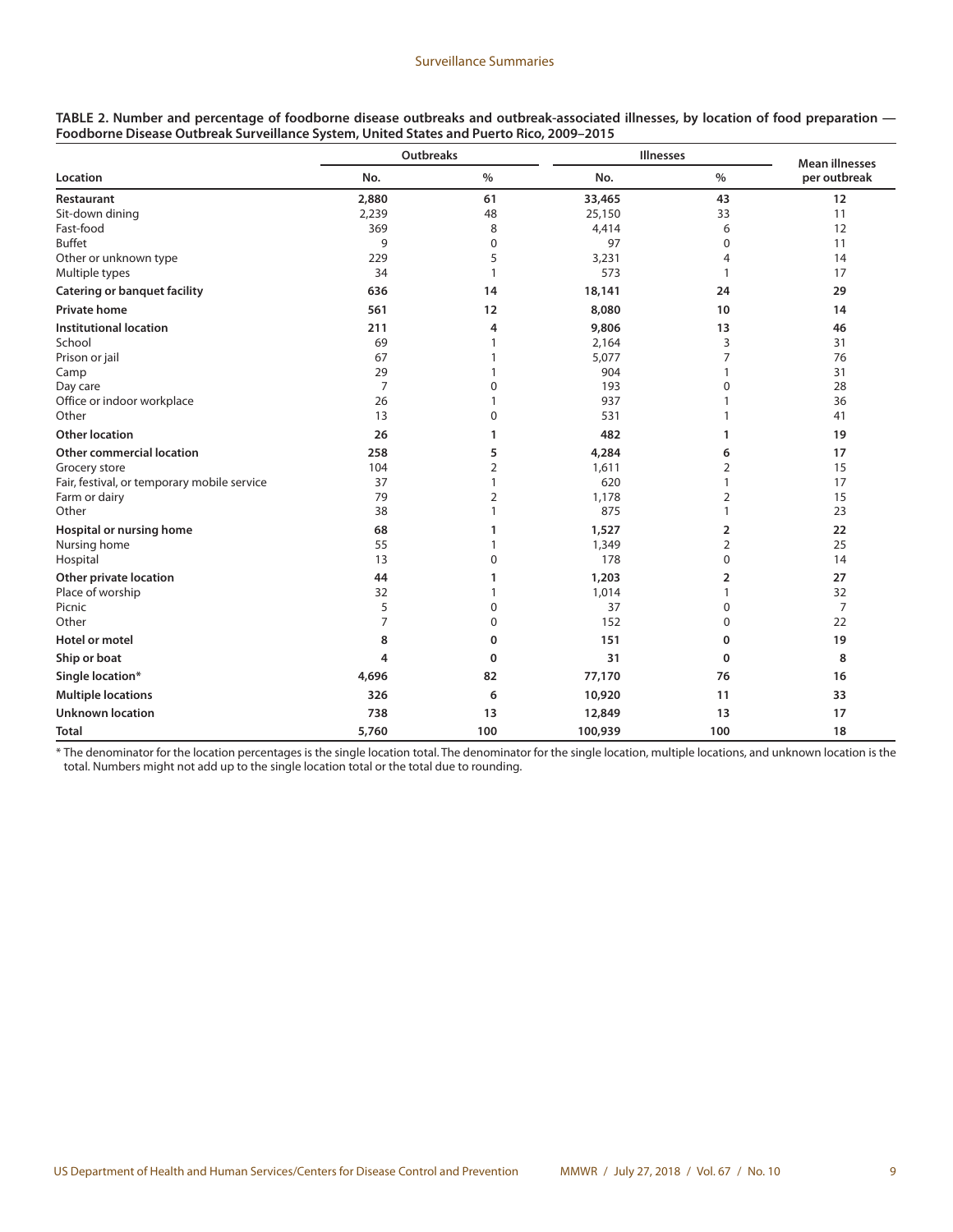|                                             | <b>Outbreaks</b> |             | Illnesses | <b>Mean illnesses</b> |                |  |
|---------------------------------------------|------------------|-------------|-----------|-----------------------|----------------|--|
| Location                                    | No.              | $\%$        | No.       | $\%$                  | per outbreak   |  |
| Restaurant                                  | 2,880            | 61          | 33,465    | 43                    | 12             |  |
| Sit-down dining                             | 2,239            | 48          | 25,150    | 33                    | 11             |  |
| Fast-food                                   | 369              | 8           | 4,414     | 6                     | 12             |  |
| <b>Buffet</b>                               | 9                | 0           | 97        | 0                     | 11             |  |
| Other or unknown type                       | 229              | 5           | 3,231     | 4                     | 14             |  |
| Multiple types                              | 34               | 1           | 573       | $\mathbf{1}$          | 17             |  |
| <b>Catering or banquet facility</b>         | 636              | 14          | 18,141    | 24                    | 29             |  |
| <b>Private home</b>                         | 561              | 12          | 8,080     | 10                    | 14             |  |
| <b>Institutional location</b>               | 211              | 4           | 9,806     | 13                    | 46             |  |
| School                                      | 69               |             | 2,164     | 3                     | 31             |  |
| Prison or jail                              | 67               |             | 5,077     | $\overline{7}$        | 76             |  |
| Camp                                        | 29               |             | 904       | 1                     | 31             |  |
| Day care                                    | 7                | 0           | 193       | 0                     | 28             |  |
| Office or indoor workplace                  | 26               |             | 937       |                       | 36             |  |
| Other                                       | 13               | 0           | 531       | 1                     | 41             |  |
| <b>Other location</b>                       | 26               | 1           | 482       | 1                     | 19             |  |
| <b>Other commercial location</b>            | 258              | 5           | 4,284     | 6                     | 17             |  |
| Grocery store                               | 104              | 2           | 1,611     | $\overline{2}$        | 15             |  |
| Fair, festival, or temporary mobile service | 37               |             | 620       | 1                     | 17             |  |
| Farm or dairy                               | 79               | 2           | 1,178     | 2                     | 15             |  |
| Other                                       | 38               |             | 875       | 1                     | 23             |  |
| <b>Hospital or nursing home</b>             | 68               | 1           | 1,527     | 2                     | 22             |  |
| Nursing home                                | 55               |             | 1,349     | 2                     | 25             |  |
| Hospital                                    | 13               | $\Omega$    | 178       | 0                     | 14             |  |
| Other private location                      | 44               |             | 1,203     | 2                     | 27             |  |
| Place of worship                            | 32               |             | 1,014     |                       | 32             |  |
| Picnic                                      | 5                | 0           | 37        | 0                     | $\overline{7}$ |  |
| Other                                       | 7                | 0           | 152       | 0                     | 22             |  |
| Hotel or motel                              | 8                | 0           | 151       | 0                     | 19             |  |
| Ship or boat                                | 4                | $\mathbf 0$ | 31        | $\mathbf 0$           | 8              |  |
| Single location*                            | 4,696            | 82          | 77,170    | 76                    | 16             |  |
| <b>Multiple locations</b>                   | 326              | 6           | 10,920    | 11                    | 33             |  |
| <b>Unknown location</b>                     | 738              | 13          | 12,849    | 13                    | 17             |  |
| <b>Total</b>                                | 5,760            | 100         | 100,939   | 100                   | 18             |  |

**TABLE 2. Number and percentage of foodborne disease outbreaks and outbreak-associated illnesses, by location of food preparation — Foodborne Disease Outbreak Surveillance System, United States and Puerto Rico, 2009–2015**

\* The denominator for the location percentages is the single location total. The denominator for the single location, multiple locations, and unknown location is the total. Numbers might not add up to the single location total or the total due to rounding.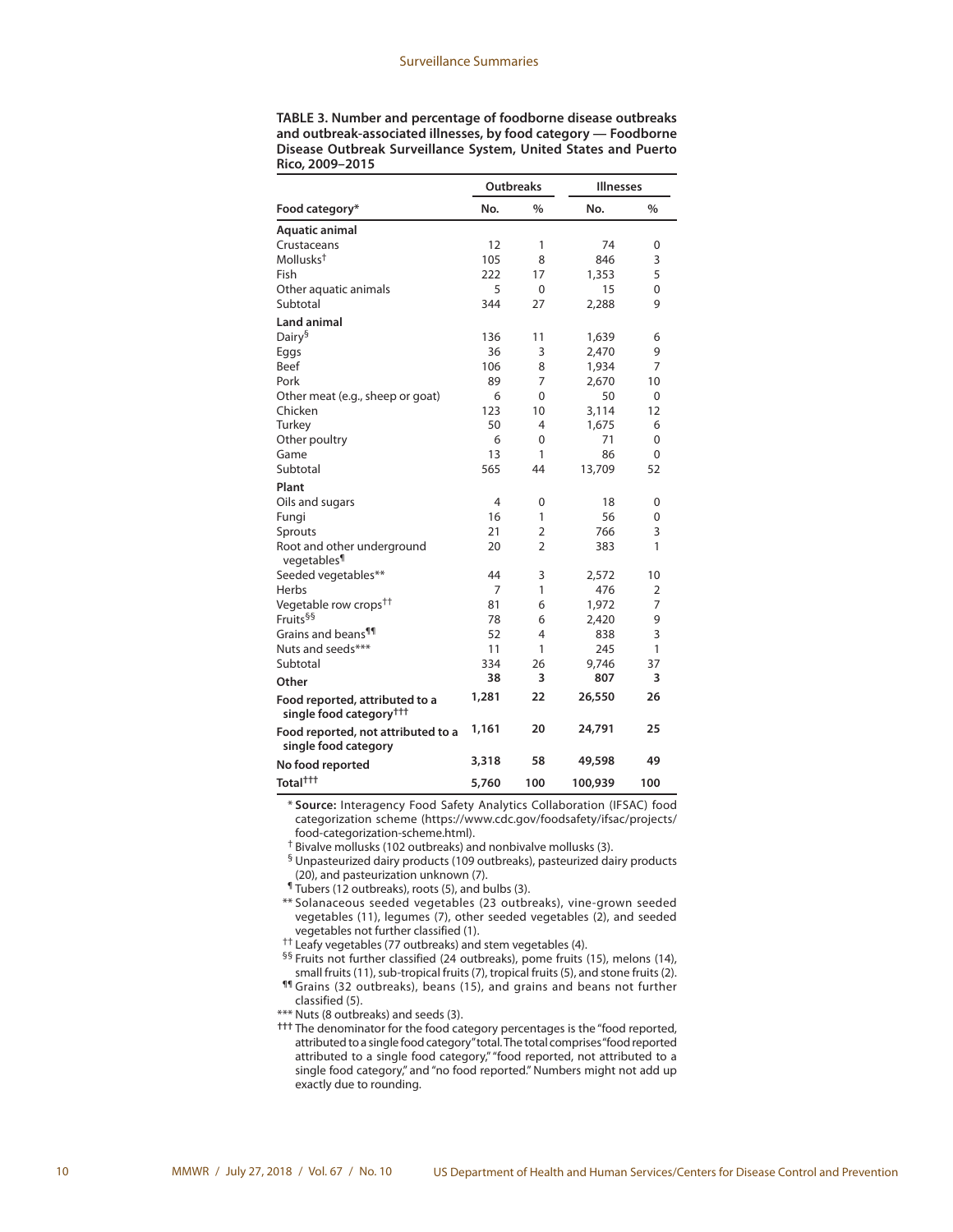**TABLE 3. Number and percentage of foodborne disease outbreaks and outbreak-associated illnesses, by food category — Foodborne Disease Outbreak Surveillance System, United States and Puerto Rico, 2009–2015**

|                                                                       |       | <b>Outbreaks</b> | <b>Illnesses</b> |     |  |  |  |
|-----------------------------------------------------------------------|-------|------------------|------------------|-----|--|--|--|
| Food category*                                                        | No.   | $\%$             | No.              | %   |  |  |  |
| <b>Aquatic animal</b>                                                 |       |                  |                  |     |  |  |  |
| Crustaceans                                                           | 12    | 1                | 74               | 0   |  |  |  |
| Mollusks <sup>†</sup>                                                 | 105   | 8                | 846              | 3   |  |  |  |
| Fish                                                                  | 222   | 17               | 1,353            | 5   |  |  |  |
| Other aquatic animals                                                 | 5     | $\Omega$         | 15               | 0   |  |  |  |
| Subtotal                                                              | 344   | 27               | 2,288            | 9   |  |  |  |
| <b>Land animal</b>                                                    |       |                  |                  |     |  |  |  |
| Dairy <sup>§</sup>                                                    | 136   | 11               | 1,639            | 6   |  |  |  |
| Eggs                                                                  | 36    | 3                | 2,470            | 9   |  |  |  |
| Beef                                                                  | 106   | 8                | 1,934            | 7   |  |  |  |
| Pork                                                                  | 89    | 7                | 2,670            | 10  |  |  |  |
| Other meat (e.g., sheep or goat)                                      | 6     | 0                | 50               | 0   |  |  |  |
| Chicken                                                               | 123   | 10               | 3,114            | 12  |  |  |  |
| Turkey                                                                | 50    | 4                | 1,675            | 6   |  |  |  |
| Other poultry                                                         | 6     | 0                | 71               | 0   |  |  |  |
| Game                                                                  | 13    | 1                | 86               | 0   |  |  |  |
| Subtotal                                                              | 565   | 44               | 13,709           | 52  |  |  |  |
| Plant                                                                 |       |                  |                  |     |  |  |  |
| Oils and sugars                                                       | 4     | 0                | 18               | 0   |  |  |  |
| Fungi                                                                 | 16    | 1                | 56               | 0   |  |  |  |
| Sprouts                                                               | 21    | 2                | 766              | 3   |  |  |  |
| Root and other underground<br>vegetables <sup>¶</sup>                 | 20    | $\overline{2}$   | 383              | 1   |  |  |  |
| Seeded vegetables**                                                   | 44    | 3                | 2,572            | 10  |  |  |  |
| Herbs                                                                 | 7     | 1                | 476              | 2   |  |  |  |
| Vegetable row crops <sup>††</sup>                                     | 81    | 6                | 1,972            | 7   |  |  |  |
| Fruits <sup>§§</sup>                                                  | 78    | 6                | 2,420            | 9   |  |  |  |
| Grains and beans¶¶                                                    | 52    | 4                | 838              | 3   |  |  |  |
| Nuts and seeds***                                                     | 11    | 1                | 245              | 1   |  |  |  |
| Subtotal                                                              | 334   | 26               | 9,746            | 37  |  |  |  |
| Other                                                                 | 38    | 3                | 807              | 3   |  |  |  |
| Food reported, attributed to a<br>single food category <sup>†††</sup> | 1,281 | 22               | 26,550           | 26  |  |  |  |
| Food reported, not attributed to a<br>single food category            | 1,161 | 20               | 24,791           | 25  |  |  |  |
| No food reported                                                      | 3,318 | 58               | 49,598           | 49  |  |  |  |
| Total <sup>†††</sup>                                                  | 5,760 | 100              | 100,939          | 100 |  |  |  |

\* **Source:** Interagency Food Safety Analytics Collaboration (IFSAC) food categorization scheme [\(https://www.cdc.gov/foodsafety/ifsac/projects/](https://www.cdc.gov/foodsafety/ifsac/projects/food-categorization-scheme.html) [food-categorization-scheme.html](https://www.cdc.gov/foodsafety/ifsac/projects/food-categorization-scheme.html)).

† Bivalve mollusks (102 outbreaks) and nonbivalve mollusks (3).

§ Unpasteurized dairy products (109 outbreaks), pasteurized dairy products (20), and pasteurization unknown (7).

¶ Tubers (12 outbreaks), roots (5), and bulbs (3).

\*\* Solanaceous seeded vegetables (23 outbreaks), vine-grown seeded vegetables (11), legumes (7), other seeded vegetables (2), and seeded vegetables not further classified (1).

†† Leafy vegetables (77 outbreaks) and stem vegetables (4).

§§ Fruits not further classified (24 outbreaks), pome fruits (15), melons (14), small fruits (11), sub-tropical fruits (7), tropical fruits (5), and stone fruits (2).

¶¶ Grains (32 outbreaks), beans (15), and grains and beans not further classified (5).

\*\*\* Nuts (8 outbreaks) and seeds (3).

**†††** The denominator for the food category percentages is the "food reported, attributed to a single food category" total. The total comprises "food reported attributed to a single food category," "food reported, not attributed to a single food category," and "no food reported." Numbers might not add up exactly due to rounding.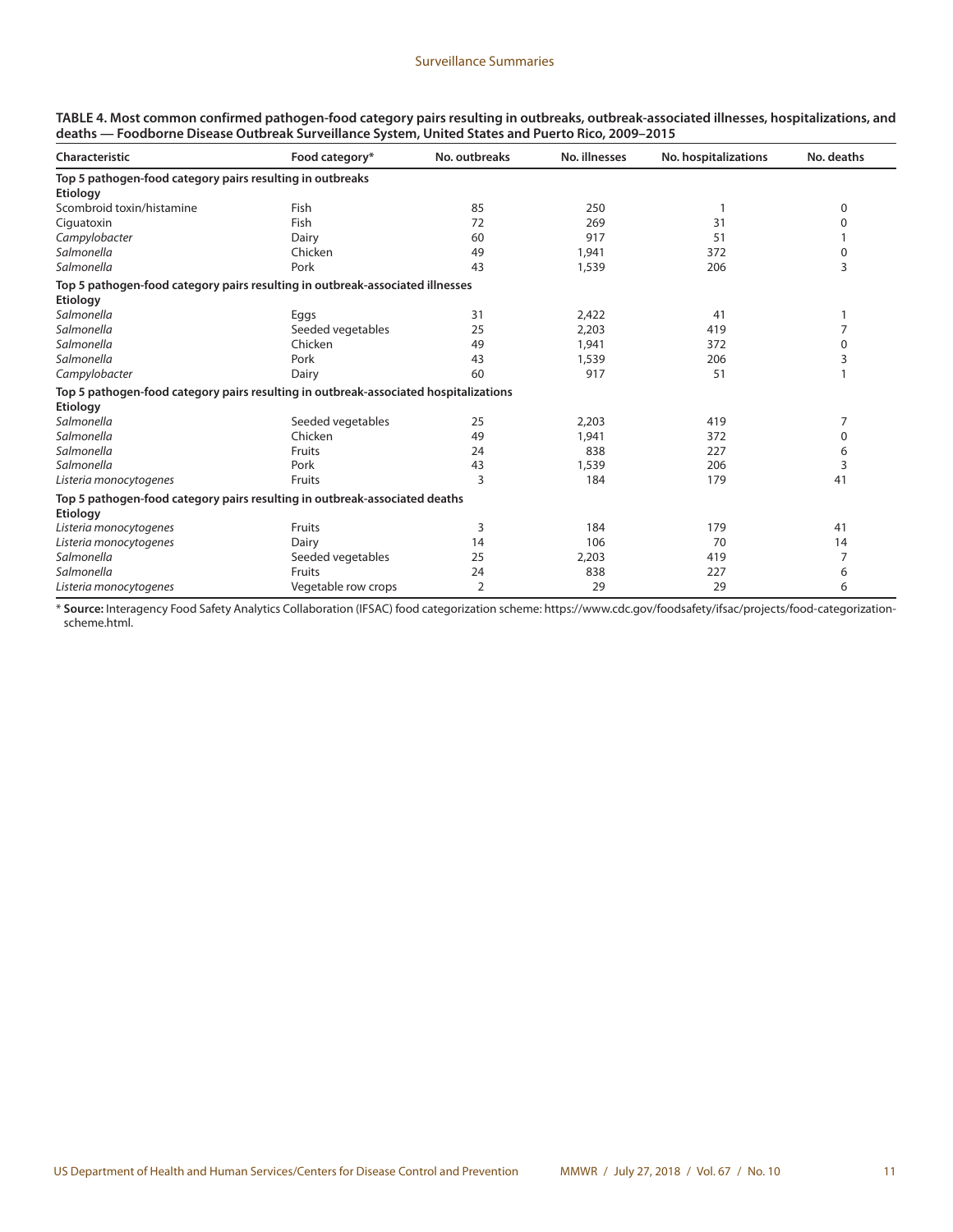| Characteristic                                                                       | Food category*      | No. outbreaks | No. illnesses | No. hospitalizations | No. deaths     |
|--------------------------------------------------------------------------------------|---------------------|---------------|---------------|----------------------|----------------|
| Top 5 pathogen-food category pairs resulting in outbreaks                            |                     |               |               |                      |                |
| Etiology                                                                             |                     |               |               |                      |                |
| Scombroid toxin/histamine                                                            | Fish                | 85            | 250           |                      | 0              |
| Ciguatoxin                                                                           | Fish                | 72            | 269           | 31                   | 0              |
| Campylobacter                                                                        | Dairy               | 60            | 917           | 51                   |                |
| Salmonella                                                                           | Chicken             | 49            | 1,941         | 372                  | 0              |
| Salmonella                                                                           | Pork                | 43            | 1,539         | 206                  | 3              |
| Top 5 pathogen-food category pairs resulting in outbreak-associated illnesses        |                     |               |               |                      |                |
| Etiology                                                                             |                     |               |               |                      |                |
| Salmonella                                                                           | Eggs                | 31            | 2,422         | 41                   |                |
| Salmonella                                                                           | Seeded vegetables   | 25            | 2,203         | 419                  | $\overline{7}$ |
| Salmonella                                                                           | Chicken             | 49            | 1,941         | 372                  | $\mathbf 0$    |
| Salmonella                                                                           | Pork                | 43            | 1,539         | 206                  | 3              |
| Campylobacter                                                                        | Dairy               | 60            | 917           | 51                   |                |
| Top 5 pathogen-food category pairs resulting in outbreak-associated hospitalizations |                     |               |               |                      |                |
| Etiology                                                                             |                     |               |               |                      |                |
| Salmonella                                                                           | Seeded vegetables   | 25            | 2,203         | 419                  | 7              |
| Salmonella                                                                           | Chicken             | 49            | 1,941         | 372                  | 0              |
| Salmonella                                                                           | Fruits              | 24            | 838           | 227                  | 6              |
| Salmonella                                                                           | Pork                | 43            | 1,539         | 206                  | 3              |
| Listeria monocytogenes                                                               | Fruits              | 3             | 184           | 179                  | 41             |
| Top 5 pathogen-food category pairs resulting in outbreak-associated deaths           |                     |               |               |                      |                |
| Etiology                                                                             |                     |               |               |                      |                |
| Listeria monocytogenes                                                               | Fruits              | 3             | 184           | 179                  | 41             |
| Listeria monocytogenes                                                               | Dairy               | 14            | 106           | 70                   | 14             |
| Salmonella                                                                           | Seeded vegetables   | 25            | 2,203         | 419                  | 7              |
| Salmonella                                                                           | Fruits              | 24            | 838           | 227                  | 6              |
| Listeria monocytogenes                                                               | Vegetable row crops | 2             | 29            | 29                   | 6              |

**TABLE 4. Most common confirmed pathogen-food category pairs resulting in outbreaks, outbreak-associated illnesses, hospitalizations, and deaths — Foodborne Disease Outbreak Surveillance System, United States and Puerto Rico, 2009–2015**

\* **Source:** Interagency Food Safety Analytics Collaboration (IFSAC) food categorization scheme: [https://www.cdc.gov/foodsafety/ifsac/projects/food-categorization](https://www.cdc.gov/foodsafety/ifsac/projects/food-categorization-scheme.html)[scheme.html](https://www.cdc.gov/foodsafety/ifsac/projects/food-categorization-scheme.html).